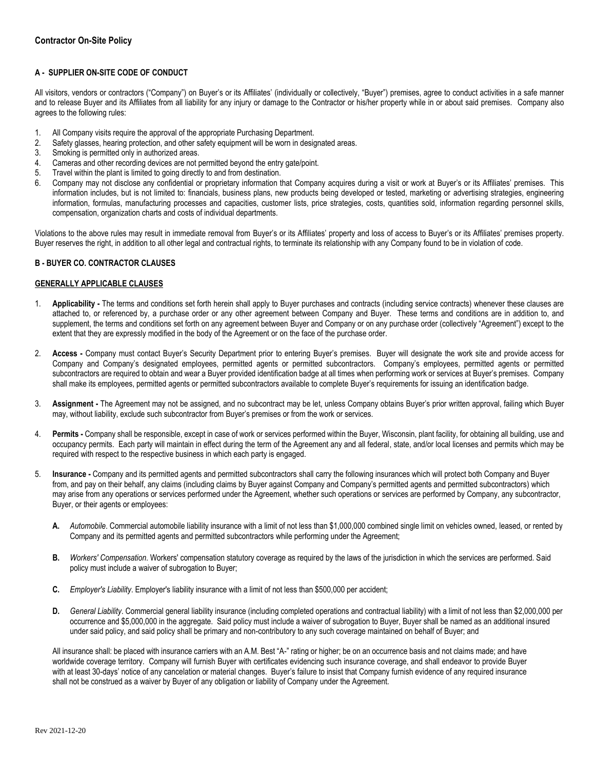## **A - SUPPLIER ON-SITE CODE OF CONDUCT**

All visitors, vendors or contractors ("Company") on Buyer's or its Affiliates' (individually or collectively, "Buyer") premises, agree to conduct activities in a safe manner and to release Buyer and its Affiliates from all liability for any injury or damage to the Contractor or his/her property while in or about said premises. Company also agrees to the following rules:

- 1. All Company visits require the approval of the appropriate Purchasing Department.
- 2. Safety glasses, hearing protection, and other safety equipment will be worn in designated areas.
- 3. Smoking is permitted only in authorized areas.
- 4. Cameras and other recording devices are not permitted beyond the entry gate/point.
- 5. Travel within the plant is limited to going directly to and from destination.
- 6. Company may not disclose any confidential or proprietary information that Company acquires during a visit or work at Buyer's or its Affiliates' premises. This information includes, but is not limited to: financials, business plans, new products being developed or tested, marketing or advertising strategies, engineering information, formulas, manufacturing processes and capacities, customer lists, price strategies, costs, quantities sold, information regarding personnel skills, compensation, organization charts and costs of individual departments.

Violations to the above rules may result in immediate removal from Buyer's or its Affiliates' property and loss of access to Buyer's or its Affiliates' premises property. Buyer reserves the right, in addition to all other legal and contractual rights, to terminate its relationship with any Company found to be in violation of code.

## **B - BUYER CO. CONTRACTOR CLAUSES**

## **GENERALLY APPLICABLE CLAUSES**

- 1. **Applicability -** The terms and conditions set forth herein shall apply to Buyer purchases and contracts (including service contracts) whenever these clauses are attached to, or referenced by, a purchase order or any other agreement between Company and Buyer. These terms and conditions are in addition to, and supplement, the terms and conditions set forth on any agreement between Buyer and Company or on any purchase order (collectively "Agreement") except to the extent that they are expressly modified in the body of the Agreement or on the face of the purchase order.
- 2. **Access -** Company must contact Buyer's Security Department prior to entering Buyer's premises. Buyer will designate the work site and provide access for Company and Company's designated employees, permitted agents or permitted subcontractors. Company's employees, permitted agents or permitted subcontractors are required to obtain and wear a Buyer provided identification badge at all times when performing work or services at Buyer's premises. Company shall make its employees, permitted agents or permitted subcontractors available to complete Buyer's requirements for issuing an identification badge.
- 3. **Assignment -** The Agreement may not be assigned, and no subcontract may be let, unless Company obtains Buyer's prior written approval, failing which Buyer may, without liability, exclude such subcontractor from Buyer's premises or from the work or services.
- 4. **Permits -** Company shall be responsible, except in case of work or services performed within the Buyer, Wisconsin, plant facility, for obtaining all building, use and occupancy permits. Each party will maintain in effect during the term of the Agreement any and all federal, state, and/or local licenses and permits which may be required with respect to the respective business in which each party is engaged.
- 5. **Insurance -** Company and its permitted agents and permitted subcontractors shall carry the following insurances which will protect both Company and Buyer from, and pay on their behalf, any claims (including claims by Buyer against Company and Company's permitted agents and permitted subcontractors) which may arise from any operations or services performed under the Agreement, whether such operations or services are performed by Company, any subcontractor, Buyer, or their agents or employees:
	- **A.** *Automobile*. Commercial automobile liability insurance with a limit of not less than \$1,000,000 combined single limit on vehicles owned, leased, or rented by Company and its permitted agents and permitted subcontractors while performing under the Agreement;
	- **B.** *Workers' Compensation*. Workers' compensation statutory coverage as required by the laws of the jurisdiction in which the services are performed. Said policy must include a waiver of subrogation to Buyer;
	- **C.** *Employer's Liability*. Employer's liability insurance with a limit of not less than \$500,000 per accident;
	- **D.** *General Liability*. Commercial general liability insurance (including completed operations and contractual liability) with a limit of not less than \$2,000,000 per occurrence and \$5,000,000 in the aggregate. Said policy must include a waiver of subrogation to Buyer, Buyer shall be named as an additional insured under said policy, and said policy shall be primary and non-contributory to any such coverage maintained on behalf of Buyer; and

All insurance shall: be placed with insurance carriers with an A.M. Best "A-" rating or higher; be on an occurrence basis and not claims made; and have worldwide coverage territory. Company will furnish Buyer with certificates evidencing such insurance coverage, and shall endeavor to provide Buyer with at least 30-days' notice of any cancelation or material changes. Buyer's failure to insist that Company furnish evidence of any required insurance shall not be construed as a waiver by Buyer of any obligation or liability of Company under the Agreement.